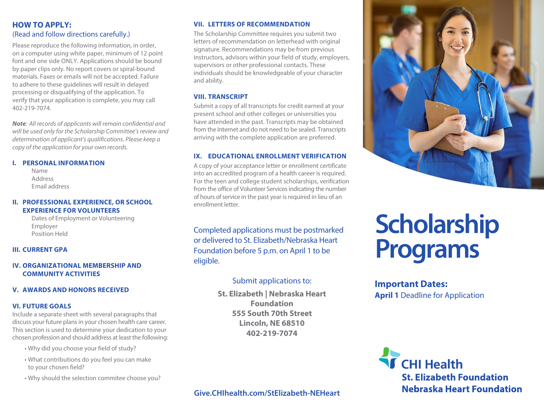# **HOW TO APPLY:** (Read and follow directions carefully.)

Please reproduce the following information, in order, on a computer using white paper, minimum of 12 point font and one side ONLY. Applications should be bound by paper clips only. No report covers or spiral-bound materials. Faxes or emails will not be accepted. Failure to adhere to these guidelines will result in delayed processing or disqualifying of the application. To verify that your application is complete, you may call 402-219-7074.

*Note: All records of applicants will remain confidential and will be used only for the Scholarship Committee's review and determination of applicant's qualifications. Please keep a copy of the application for your own records.*

#### **I. PERSONAL INFORMATION**

 Name Address Email address

## **II. PROFESSIONAL EXPERIENCE, OR SCHOOL EXPERIENCE FOR VOLUNTEERS**

 Dates of Employment or Volunteering Employer Position Held

# **III. CURRENT GPA**

# **IV. ORGANIZATIONAL MEMBERSHIP AND COMMUNITY ACTIVITIES**

## **V. AWARDS AND HONORS RECEIVED**

## **VI. FUTURE GOALS**

Include a separate sheet with several paragraphs that discuss your future plans in your chosen health care career. This section is used to determine your dedication to your chosen profession and should address at least the following:

- Why did you choose your field of study?
- What contributions do you feel you can make to your chosen field?
- Why should the selection commitee choose you?

## **VII. LETTERS OF RECOMMENDATION**

The Scholarship Committee requires you submit two letters of recommendation on letterhead with original signature. Recommendations may be from previous instructors, advisors within your field of study, employers, supervisors or other professional contacts. These individuals should be knowledgeable of your character and ability.

# **VIII. TRANSCRIPT**

Submit a copy of all transcripts for credit earned at your present school and other colleges or universities you have attended in the past. Transcripts may be obtained from the Internet and do not need to be sealed. Transcripts arriving with the complete application are preferred.

# **IX. EDUCATIONAL ENROLLMENT VERIFICATION**

A copy of your acceptance letter or enrollment certificate into an accredited program of a health career is required. For the teen and college student scholarships, verification from the office of Volunteer Services indicating the number of hours of service in the past year is required in lieu of an enrollment letter.

Completed applications must be postmarked or delivered to St. Elizabeth/Nebraska Heart Foundation before 5 p.m. on April 1 to be eligible.

# Submit applications to:

**St. Elizabeth | Nebraska Heart Foundation 555 South 70th Street Lincoln, NE 68510 402-219-7074**

# **Give.CHIhealth.com/StElizabeth-NEHeart**



# **Scholarship Programs**

# **Important Dates: April 1 Deadline for Application**